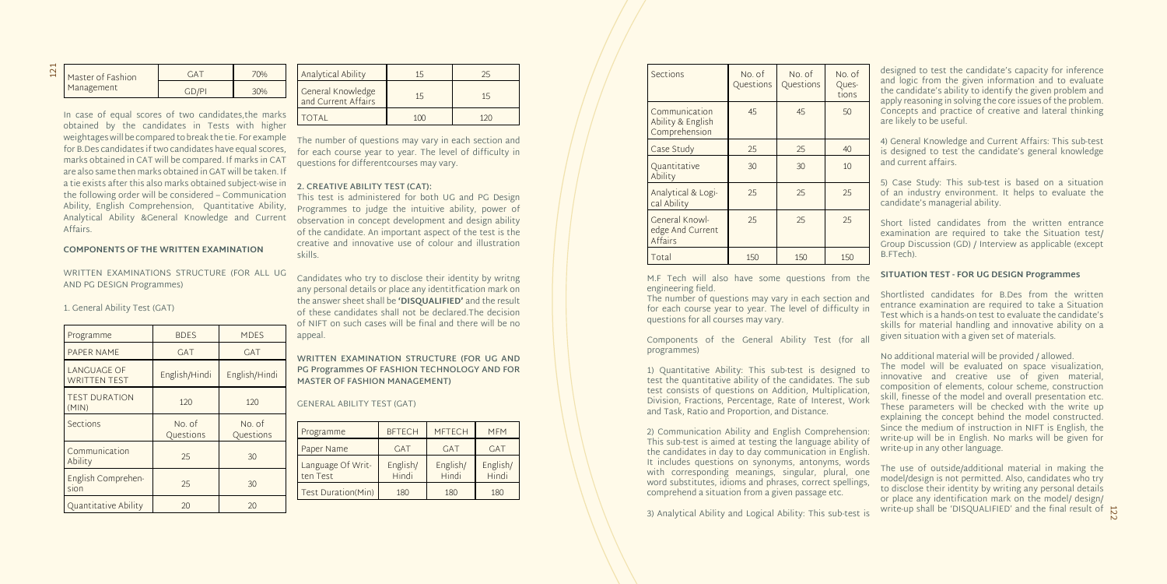|  | Master of Fashion<br>Management | ÷Α |  |
|--|---------------------------------|----|--|
|  |                                 |    |  |

In case of equal scores of two candidates,the marks obtained by the candidates in Tests with higher weightages will be compared to break the tie. For example for B.Des candidates if two candidates have equal scores, marks obtained in CAT will be compared. If marks in CAT are also same then marks obtained in GAT will be taken. If a tie exists after this also marks obtained subject-wise in the following order will be considered – Communication Ability, English Comprehension, Quantitative Ability, Analytical Ability &General Knowledge and Current Affairs.

#### **COMPONENTS OF THE WRITTEN EXAMINATION**

WRITTEN EXAMINATIONS STRUCTURE (FOR ALL UG AND PG DESIGN Programmes)

1. General Ability Test (GAT)

| Programme                                 | <b>BDES</b>         | <b>MDES</b>         |  |
|-------------------------------------------|---------------------|---------------------|--|
| PAPER NAME                                | <b>GAT</b>          | <b>GAT</b>          |  |
| <b>LANGUAGE OF</b><br><b>WRITTEN TEST</b> | English/Hindi       | English/Hindi       |  |
| <b>TEST DURATION</b><br>(MIN)             | 120                 | 120                 |  |
| <b>Sections</b>                           | No. of<br>Questions | No. of<br>Questions |  |
| Communication<br>Ability                  | 25                  | 30                  |  |
| English Comprehen-<br>sion                | 25                  | 30                  |  |
| Quantitative Ability                      | 20                  | 20                  |  |

| <b>Analytical Ability</b>                |                |                |
|------------------------------------------|----------------|----------------|
| General Knowledge<br>and Current Affairs | 1 <sub>b</sub> | 1 <sub>5</sub> |
| TOTAL                                    |                |                |

The number of questions may vary in each section and for each course year to year. The level of difficulty in questions for differentcourses may vary.

#### **2. CREATIVE ABILITY TEST (CAT):**

This test is administered for both UG and PG Design Programmes to judge the intuitive ability, power of observation in concept development and design ability of the candidate. An important aspect of the test is the creative and innovative use of colour and illustration skills.

Candidates who try to disclose their identity by writng any personal details or place any identitfication mark on the answer sheet shall be **'DISQUALIFIED'** and the result of these candidates shall not be declared.The decision of NIFT on such cases will be final and there will be no appeal.

**WRITTEN EXAMINATION STRUCTURE (FOR UG AND PG Programmes OF FASHION TECHNOLOGY AND FOR MASTER OF FASHION MANAGEMENT)** 

### GENERAL ABILITY TEST (GAT)

| Programme                     | <b>BFTECH</b>     | <b>MFTECH</b>     | <b>MFM</b>        |
|-------------------------------|-------------------|-------------------|-------------------|
| Paper Name                    | <b>GAT</b>        | <b>GAT</b>        | <b>GAT</b>        |
| Language Of Writ-<br>ten Test | English/<br>Hindi | English/<br>Hindi | English/<br>Hindi |
| Test Duration(Min)            | 180               | 180               | 180               |

| <b>Sections</b>                                     | No. of<br>Questions | No. of<br>Questions | No. of<br>Ques-<br>tions |
|-----------------------------------------------------|---------------------|---------------------|--------------------------|
| Communication<br>Ability & English<br>Comprehension | 45                  | 45                  | 50                       |
| Case Study                                          | 25                  | 25                  | 40                       |
| Quantitative<br>Ability                             | 30                  | 30                  | 10                       |
| Analytical & Logi-<br>cal Ability                   | 25                  | 25                  | 25                       |
| General Knowl-<br>edge And Current<br>Affairs       | 25                  | 25                  | 25                       |
| Total                                               | 150                 | 150                 | 150                      |

M.F Tech will also have some questions from the engineering field.

The number of questions may vary in each section and for each course year to year. The level of difficulty in questions for all courses may vary.

> write-up shall be 'DISQUALIFIED' and the final result of  $\overleftrightarrow{N}$ The use of outside/additional material in making the model/design is not permitted. Also, candidates who try to disclose their identity by writing any personal details or place any identification mark on the model/ design/

Components of the General Ability Test (for all programmes)

1) Quantitative Ability: This sub-test is designed to test the quantitative ability of the candidates. The sub test consists of questions on Addition, Multiplication, Division, Fractions, Percentage, Rate of Interest, Work and Task, Ratio and Proportion, and Distance.

2) Communication Ability and English Comprehension: This sub-test is aimed at testing the language ability of the candidates in day to day communication in English. It includes questions on synonyms, antonyms, words with corresponding meanings, singular, plural, one word substitutes, idioms and phrases, correct spellings, comprehend a situation from a given passage etc.

3) Analytical Ability and Logical Ability: This sub-test is

designed to test the candidate's capacity for inference and logic from the given information and to evaluate the candidate's ability to identify the given problem and apply reasoning in solving the core issues of the problem. Concepts and practice of creative and lateral thinking are likely to be useful.

4) General Knowledge and Current Affairs: This sub-test is designed to test the candidate's general knowledge and current affairs.

5) Case Study: This sub-test is based on a situation of an industry environment. It helps to evaluate the candidate's managerial ability.

Short listed candidates from the written entrance examination are required to take the Situation test/ Group Discussion (GD) / Interview as applicable (except B.FTech).

#### **SITUATION TEST - FOR UG DESIGN Programmes**

Shortlisted candidates for B.Des from the written entrance examination are required to take a Situation Test which is a hands-on test to evaluate the candidate's skills for material handling and innovative ability on a given situation with a given set of materials.

No additional material will be provided / allowed.

The model will be evaluated on space visualization, innovative and creative use of given material, composition of elements, colour scheme, construction skill, finesse of the model and overall presentation etc. These parameters will be checked with the write up explaining the concept behind the model constructed. Since the medium of instruction in NIFT is English, the write-up will be in English. No marks will be given for write-up in any other language.